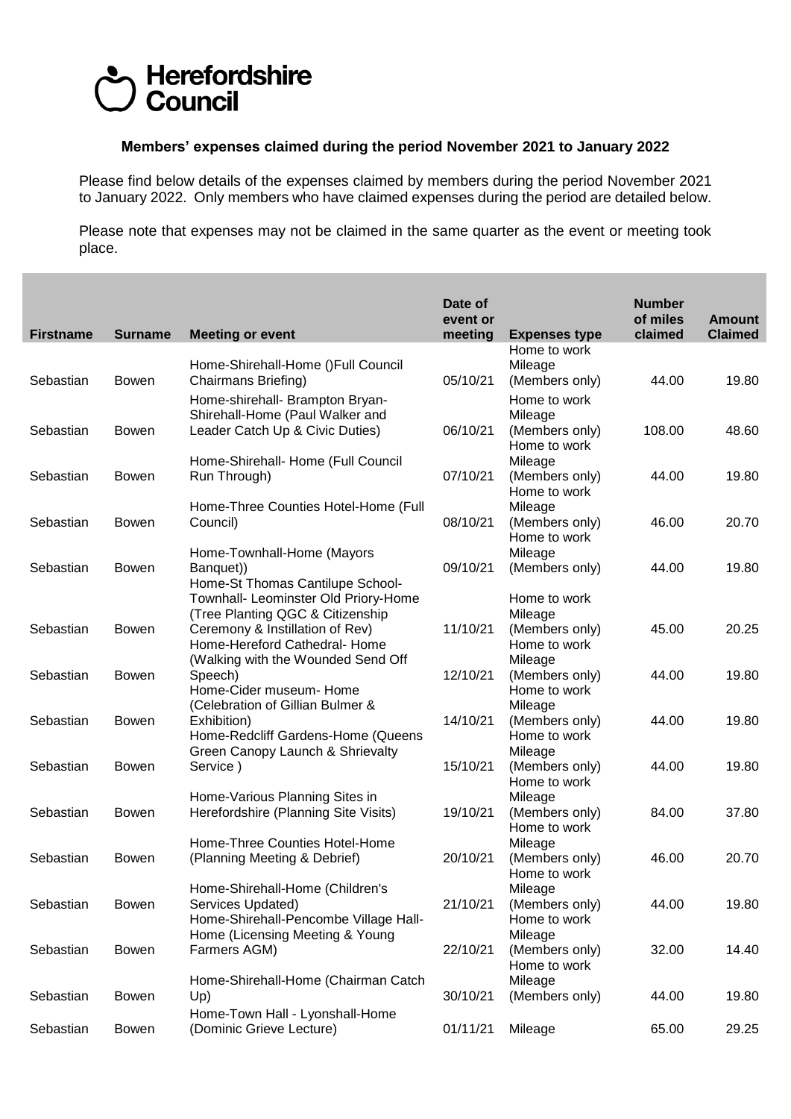## Herefordshire **Council**

## **Members' expenses claimed during the period November 2021 to January 2022**

Please find below details of the expenses claimed by members during the period November 2021 to January 2022. Only members who have claimed expenses during the period are detailed below.

Please note that expenses may not be claimed in the same quarter as the event or meeting took place.

| <b>Firstname</b> | <b>Surname</b> | <b>Meeting or event</b>                                                  | Date of<br>event or<br>meeting | <b>Expenses type</b>                      | <b>Number</b><br>of miles<br>claimed | <b>Amount</b><br><b>Claimed</b> |
|------------------|----------------|--------------------------------------------------------------------------|--------------------------------|-------------------------------------------|--------------------------------------|---------------------------------|
|                  |                |                                                                          |                                | Home to work                              |                                      |                                 |
| Sebastian        | <b>Bowen</b>   | Home-Shirehall-Home ()Full Council<br>Chairmans Briefing)                | 05/10/21                       | Mileage<br>(Members only)                 | 44.00                                | 19.80                           |
|                  |                | Home-shirehall- Brampton Bryan-<br>Shirehall-Home (Paul Walker and       |                                | Home to work<br>Mileage                   |                                      |                                 |
| Sebastian        | Bowen          | Leader Catch Up & Civic Duties)                                          | 06/10/21                       | (Members only)<br>Home to work            | 108.00                               | 48.60                           |
| Sebastian        | Bowen          | Home-Shirehall- Home (Full Council<br>Run Through)                       | 07/10/21                       | Mileage<br>(Members only)                 | 44.00                                | 19.80                           |
|                  |                | Home-Three Counties Hotel-Home (Full                                     |                                | Home to work<br>Mileage                   |                                      |                                 |
| Sebastian        | <b>Bowen</b>   | Council)                                                                 | 08/10/21                       | (Members only)<br>Home to work            | 46.00                                | 20.70                           |
|                  |                | Home-Townhall-Home (Mayors                                               |                                | Mileage                                   |                                      |                                 |
| Sebastian        | <b>Bowen</b>   | Banquet))<br>Home-St Thomas Cantilupe School-                            | 09/10/21                       | (Members only)                            | 44.00                                | 19.80                           |
|                  |                | Townhall- Leominster Old Priory-Home<br>(Tree Planting QGC & Citizenship |                                | Home to work<br>Mileage                   |                                      |                                 |
| Sebastian        | <b>Bowen</b>   | Ceremony & Instillation of Rev)<br>Home-Hereford Cathedral- Home         | 11/10/21                       | (Members only)<br>Home to work            | 45.00                                | 20.25                           |
| Sebastian        | <b>Bowen</b>   | (Walking with the Wounded Send Off<br>Speech)                            | 12/10/21                       | Mileage<br>(Members only)                 | 44.00                                | 19.80                           |
|                  |                | Home-Cider museum- Home<br>(Celebration of Gillian Bulmer &              |                                | Home to work<br>Mileage                   |                                      |                                 |
| Sebastian        | <b>Bowen</b>   | Exhibition)<br>Home-Redcliff Gardens-Home (Queens                        | 14/10/21                       | (Members only)<br>Home to work            | 44.00                                | 19.80                           |
|                  |                | Green Canopy Launch & Shrievalty                                         |                                | Mileage                                   |                                      |                                 |
| Sebastian        | <b>Bowen</b>   | Service)                                                                 | 15/10/21                       | (Members only)<br>Home to work            | 44.00                                | 19.80                           |
| Sebastian        | <b>Bowen</b>   | Home-Various Planning Sites in<br>Herefordshire (Planning Site Visits)   | 19/10/21                       | Mileage<br>(Members only)                 | 84.00                                | 37.80                           |
|                  |                | Home-Three Counties Hotel-Home                                           |                                | Home to work<br>Mileage                   |                                      |                                 |
| Sebastian        | <b>Bowen</b>   | (Planning Meeting & Debrief)                                             | 20/10/21                       | (Members only)<br>Home to work            | 46.00                                | 20.70                           |
| Sebastian        | Bowen          | Home-Shirehall-Home (Children's<br>Services Updated)                     | 21/10/21                       | Mileage<br>(Members only)                 | 44.00                                | 19.80                           |
|                  |                | Home-Shirehall-Pencombe Village Hall-                                    |                                | Home to work                              |                                      |                                 |
| Sebastian        | <b>Bowen</b>   | Home (Licensing Meeting & Young<br>Farmers AGM)                          | 22/10/21                       | Mileage<br>(Members only)<br>Home to work | 32.00                                | 14.40                           |
| Sebastian        | <b>Bowen</b>   | Home-Shirehall-Home (Chairman Catch<br>Up)                               | 30/10/21                       | Mileage<br>(Members only)                 | 44.00                                | 19.80                           |
|                  |                | Home-Town Hall - Lyonshall-Home                                          |                                |                                           |                                      |                                 |
| Sebastian        | <b>Bowen</b>   | (Dominic Grieve Lecture)                                                 | 01/11/21                       | Mileage                                   | 65.00                                | 29.25                           |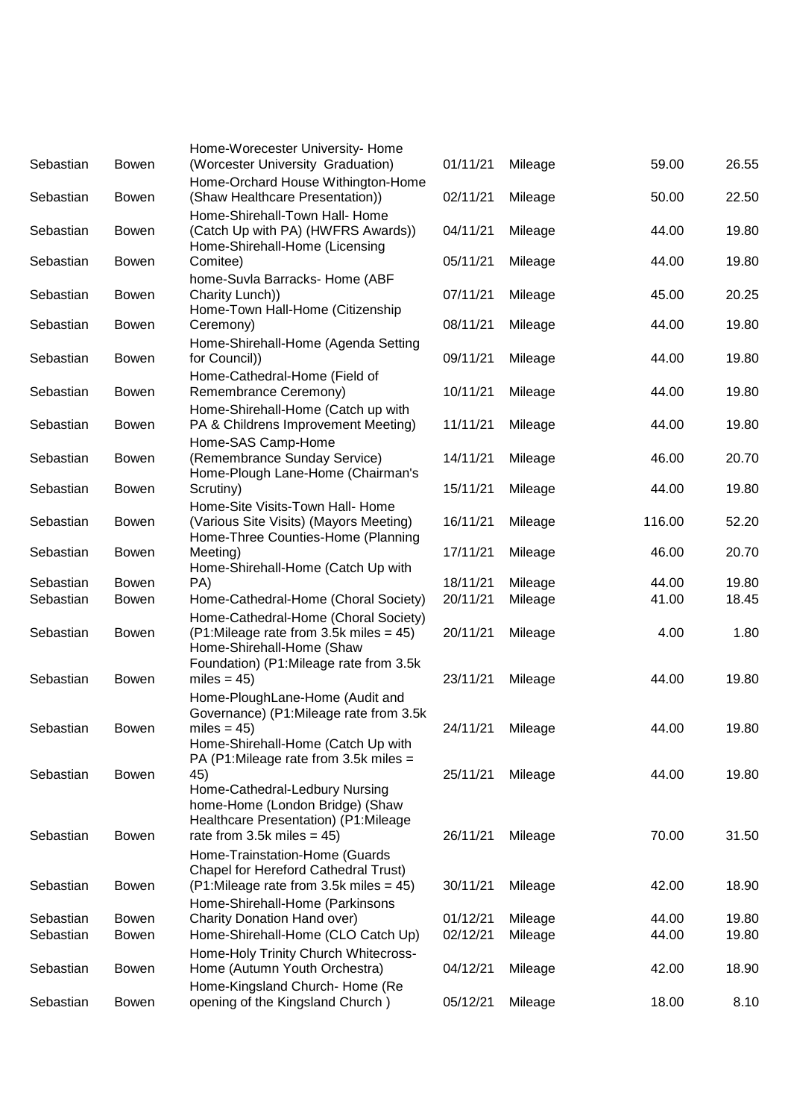| Sebastian | <b>Bowen</b> | Home-Worecester University- Home<br>(Worcester University Graduation)                                                                                    | 01/11/21 | Mileage | 59.00  | 26.55 |
|-----------|--------------|----------------------------------------------------------------------------------------------------------------------------------------------------------|----------|---------|--------|-------|
| Sebastian | <b>Bowen</b> | Home-Orchard House Withington-Home<br>(Shaw Healthcare Presentation))                                                                                    | 02/11/21 | Mileage | 50.00  | 22.50 |
| Sebastian | <b>Bowen</b> | Home-Shirehall-Town Hall- Home<br>(Catch Up with PA) (HWFRS Awards))                                                                                     | 04/11/21 | Mileage | 44.00  | 19.80 |
| Sebastian | <b>Bowen</b> | Home-Shirehall-Home (Licensing<br>Comitee)                                                                                                               | 05/11/21 | Mileage | 44.00  | 19.80 |
| Sebastian | <b>Bowen</b> | home-Suvla Barracks- Home (ABF<br>Charity Lunch))<br>Home-Town Hall-Home (Citizenship                                                                    | 07/11/21 | Mileage | 45.00  | 20.25 |
| Sebastian | <b>Bowen</b> | Ceremony)                                                                                                                                                | 08/11/21 | Mileage | 44.00  | 19.80 |
| Sebastian | <b>Bowen</b> | Home-Shirehall-Home (Agenda Setting<br>for Council))                                                                                                     | 09/11/21 | Mileage | 44.00  | 19.80 |
| Sebastian | <b>Bowen</b> | Home-Cathedral-Home (Field of<br>Remembrance Ceremony)                                                                                                   | 10/11/21 | Mileage | 44.00  | 19.80 |
| Sebastian | <b>Bowen</b> | Home-Shirehall-Home (Catch up with<br>PA & Childrens Improvement Meeting)                                                                                | 11/11/21 | Mileage | 44.00  | 19.80 |
| Sebastian | <b>Bowen</b> | Home-SAS Camp-Home<br>(Remembrance Sunday Service)<br>Home-Plough Lane-Home (Chairman's                                                                  | 14/11/21 | Mileage | 46.00  | 20.70 |
| Sebastian | <b>Bowen</b> | Scrutiny)                                                                                                                                                | 15/11/21 | Mileage | 44.00  | 19.80 |
| Sebastian | <b>Bowen</b> | Home-Site Visits-Town Hall- Home<br>(Various Site Visits) (Mayors Meeting)<br>Home-Three Counties-Home (Planning                                         | 16/11/21 | Mileage | 116.00 | 52.20 |
| Sebastian | <b>Bowen</b> | Meeting)<br>Home-Shirehall-Home (Catch Up with                                                                                                           | 17/11/21 | Mileage | 46.00  | 20.70 |
| Sebastian | <b>Bowen</b> | PA)                                                                                                                                                      | 18/11/21 | Mileage | 44.00  | 19.80 |
| Sebastian | <b>Bowen</b> | Home-Cathedral-Home (Choral Society)                                                                                                                     | 20/11/21 | Mileage | 41.00  | 18.45 |
| Sebastian | <b>Bowen</b> | Home-Cathedral-Home (Choral Society)<br>$(P1:$ Mileage rate from 3.5k miles = 45)<br>Home-Shirehall-Home (Shaw<br>Foundation) (P1:Mileage rate from 3.5k | 20/11/21 | Mileage | 4.00   | 1.80  |
| Sebastian | <b>Bowen</b> | miles = $45$ )<br>Home-PloughLane-Home (Audit and                                                                                                        | 23/11/21 | Mileage | 44.00  | 19.80 |
| Sebastian | <b>Bowen</b> | Governance) (P1:Mileage rate from 3.5k<br>miles = $45$ )<br>Home-Shirehall-Home (Catch Up with<br>PA (P1:Mileage rate from 3.5k miles =                  | 24/11/21 | Mileage | 44.00  | 19.80 |
| Sebastian | Bowen        | 45)<br>Home-Cathedral-Ledbury Nursing<br>home-Home (London Bridge) (Shaw                                                                                 | 25/11/21 | Mileage | 44.00  | 19.80 |
| Sebastian | <b>Bowen</b> | Healthcare Presentation) (P1:Mileage<br>rate from 3.5k miles $= 45$ )<br>Home-Trainstation-Home (Guards                                                  | 26/11/21 | Mileage | 70.00  | 31.50 |
| Sebastian | Bowen        | Chapel for Hereford Cathedral Trust)<br>$(P1:$ Mileage rate from 3.5k miles = 45)                                                                        | 30/11/21 | Mileage | 42.00  | 18.90 |
| Sebastian | <b>Bowen</b> | Home-Shirehall-Home (Parkinsons<br>Charity Donation Hand over)                                                                                           | 01/12/21 | Mileage | 44.00  | 19.80 |
| Sebastian | <b>Bowen</b> | Home-Shirehall-Home (CLO Catch Up)                                                                                                                       | 02/12/21 | Mileage | 44.00  | 19.80 |
| Sebastian | Bowen        | Home-Holy Trinity Church Whitecross-<br>Home (Autumn Youth Orchestra)                                                                                    | 04/12/21 | Mileage | 42.00  | 18.90 |
|           |              | Home-Kingsland Church- Home (Re                                                                                                                          |          |         |        |       |
| Sebastian | Bowen        | opening of the Kingsland Church)                                                                                                                         | 05/12/21 | Mileage | 18.00  | 8.10  |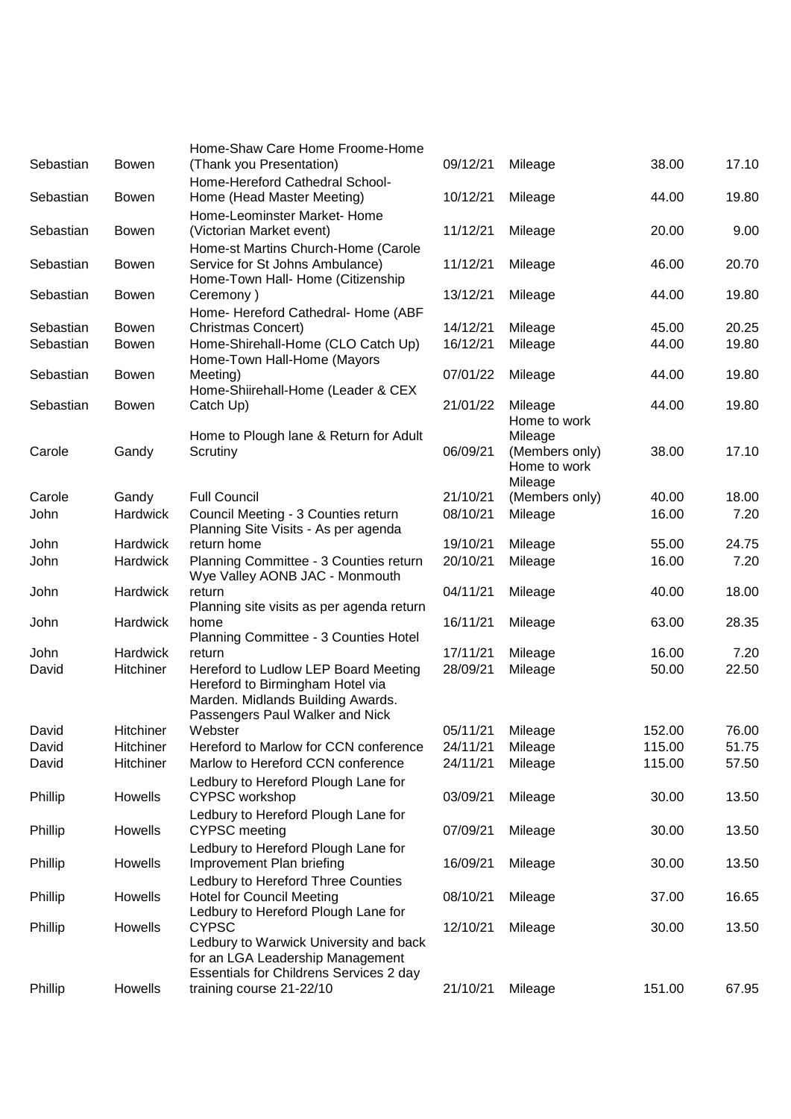|              |                                                                                                                                                                                                                                   |                                                                                                                                                                                                                                                                                                                                                                                                                                                                                                                                                                                                                                                                                                                                                                                                                                                                                                                                                                                                                                                                                                                            |                                                                                                                                                                                                                                  |                                                                                                                                                                                                                                             | 17.10                                                                                                                                                             |
|--------------|-----------------------------------------------------------------------------------------------------------------------------------------------------------------------------------------------------------------------------------|----------------------------------------------------------------------------------------------------------------------------------------------------------------------------------------------------------------------------------------------------------------------------------------------------------------------------------------------------------------------------------------------------------------------------------------------------------------------------------------------------------------------------------------------------------------------------------------------------------------------------------------------------------------------------------------------------------------------------------------------------------------------------------------------------------------------------------------------------------------------------------------------------------------------------------------------------------------------------------------------------------------------------------------------------------------------------------------------------------------------------|----------------------------------------------------------------------------------------------------------------------------------------------------------------------------------------------------------------------------------|---------------------------------------------------------------------------------------------------------------------------------------------------------------------------------------------------------------------------------------------|-------------------------------------------------------------------------------------------------------------------------------------------------------------------|
|              |                                                                                                                                                                                                                                   |                                                                                                                                                                                                                                                                                                                                                                                                                                                                                                                                                                                                                                                                                                                                                                                                                                                                                                                                                                                                                                                                                                                            |                                                                                                                                                                                                                                  |                                                                                                                                                                                                                                             | 19.80                                                                                                                                                             |
|              |                                                                                                                                                                                                                                   |                                                                                                                                                                                                                                                                                                                                                                                                                                                                                                                                                                                                                                                                                                                                                                                                                                                                                                                                                                                                                                                                                                                            |                                                                                                                                                                                                                                  |                                                                                                                                                                                                                                             |                                                                                                                                                                   |
|              |                                                                                                                                                                                                                                   |                                                                                                                                                                                                                                                                                                                                                                                                                                                                                                                                                                                                                                                                                                                                                                                                                                                                                                                                                                                                                                                                                                                            |                                                                                                                                                                                                                                  |                                                                                                                                                                                                                                             | 9.00                                                                                                                                                              |
|              |                                                                                                                                                                                                                                   |                                                                                                                                                                                                                                                                                                                                                                                                                                                                                                                                                                                                                                                                                                                                                                                                                                                                                                                                                                                                                                                                                                                            |                                                                                                                                                                                                                                  |                                                                                                                                                                                                                                             |                                                                                                                                                                   |
|              |                                                                                                                                                                                                                                   |                                                                                                                                                                                                                                                                                                                                                                                                                                                                                                                                                                                                                                                                                                                                                                                                                                                                                                                                                                                                                                                                                                                            |                                                                                                                                                                                                                                  |                                                                                                                                                                                                                                             | 20.70                                                                                                                                                             |
|              |                                                                                                                                                                                                                                   |                                                                                                                                                                                                                                                                                                                                                                                                                                                                                                                                                                                                                                                                                                                                                                                                                                                                                                                                                                                                                                                                                                                            |                                                                                                                                                                                                                                  |                                                                                                                                                                                                                                             |                                                                                                                                                                   |
| <b>Bowen</b> | Ceremony)                                                                                                                                                                                                                         | 13/12/21                                                                                                                                                                                                                                                                                                                                                                                                                                                                                                                                                                                                                                                                                                                                                                                                                                                                                                                                                                                                                                                                                                                   | Mileage                                                                                                                                                                                                                          | 44.00                                                                                                                                                                                                                                       | 19.80                                                                                                                                                             |
|              | Home- Hereford Cathedral- Home (ABF                                                                                                                                                                                               |                                                                                                                                                                                                                                                                                                                                                                                                                                                                                                                                                                                                                                                                                                                                                                                                                                                                                                                                                                                                                                                                                                                            |                                                                                                                                                                                                                                  |                                                                                                                                                                                                                                             |                                                                                                                                                                   |
| <b>Bowen</b> | <b>Christmas Concert)</b>                                                                                                                                                                                                         |                                                                                                                                                                                                                                                                                                                                                                                                                                                                                                                                                                                                                                                                                                                                                                                                                                                                                                                                                                                                                                                                                                                            | Mileage                                                                                                                                                                                                                          | 45.00                                                                                                                                                                                                                                       | 20.25                                                                                                                                                             |
|              |                                                                                                                                                                                                                                   |                                                                                                                                                                                                                                                                                                                                                                                                                                                                                                                                                                                                                                                                                                                                                                                                                                                                                                                                                                                                                                                                                                                            |                                                                                                                                                                                                                                  |                                                                                                                                                                                                                                             | 19.80                                                                                                                                                             |
|              |                                                                                                                                                                                                                                   |                                                                                                                                                                                                                                                                                                                                                                                                                                                                                                                                                                                                                                                                                                                                                                                                                                                                                                                                                                                                                                                                                                                            |                                                                                                                                                                                                                                  |                                                                                                                                                                                                                                             | 19.80                                                                                                                                                             |
|              |                                                                                                                                                                                                                                   |                                                                                                                                                                                                                                                                                                                                                                                                                                                                                                                                                                                                                                                                                                                                                                                                                                                                                                                                                                                                                                                                                                                            |                                                                                                                                                                                                                                  |                                                                                                                                                                                                                                             |                                                                                                                                                                   |
| <b>Bowen</b> |                                                                                                                                                                                                                                   |                                                                                                                                                                                                                                                                                                                                                                                                                                                                                                                                                                                                                                                                                                                                                                                                                                                                                                                                                                                                                                                                                                                            |                                                                                                                                                                                                                                  |                                                                                                                                                                                                                                             | 19.80                                                                                                                                                             |
|              |                                                                                                                                                                                                                                   |                                                                                                                                                                                                                                                                                                                                                                                                                                                                                                                                                                                                                                                                                                                                                                                                                                                                                                                                                                                                                                                                                                                            | Home to work                                                                                                                                                                                                                     |                                                                                                                                                                                                                                             |                                                                                                                                                                   |
|              | Home to Plough lane & Return for Adult                                                                                                                                                                                            |                                                                                                                                                                                                                                                                                                                                                                                                                                                                                                                                                                                                                                                                                                                                                                                                                                                                                                                                                                                                                                                                                                                            | Mileage                                                                                                                                                                                                                          |                                                                                                                                                                                                                                             |                                                                                                                                                                   |
|              |                                                                                                                                                                                                                                   |                                                                                                                                                                                                                                                                                                                                                                                                                                                                                                                                                                                                                                                                                                                                                                                                                                                                                                                                                                                                                                                                                                                            |                                                                                                                                                                                                                                  |                                                                                                                                                                                                                                             | 17.10                                                                                                                                                             |
|              |                                                                                                                                                                                                                                   |                                                                                                                                                                                                                                                                                                                                                                                                                                                                                                                                                                                                                                                                                                                                                                                                                                                                                                                                                                                                                                                                                                                            |                                                                                                                                                                                                                                  |                                                                                                                                                                                                                                             |                                                                                                                                                                   |
|              |                                                                                                                                                                                                                                   |                                                                                                                                                                                                                                                                                                                                                                                                                                                                                                                                                                                                                                                                                                                                                                                                                                                                                                                                                                                                                                                                                                                            |                                                                                                                                                                                                                                  |                                                                                                                                                                                                                                             | 18.00                                                                                                                                                             |
|              |                                                                                                                                                                                                                                   |                                                                                                                                                                                                                                                                                                                                                                                                                                                                                                                                                                                                                                                                                                                                                                                                                                                                                                                                                                                                                                                                                                                            |                                                                                                                                                                                                                                  |                                                                                                                                                                                                                                             | 7.20                                                                                                                                                              |
|              | Planning Site Visits - As per agenda                                                                                                                                                                                              |                                                                                                                                                                                                                                                                                                                                                                                                                                                                                                                                                                                                                                                                                                                                                                                                                                                                                                                                                                                                                                                                                                                            |                                                                                                                                                                                                                                  |                                                                                                                                                                                                                                             |                                                                                                                                                                   |
| Hardwick     | return home                                                                                                                                                                                                                       | 19/10/21                                                                                                                                                                                                                                                                                                                                                                                                                                                                                                                                                                                                                                                                                                                                                                                                                                                                                                                                                                                                                                                                                                                   | Mileage                                                                                                                                                                                                                          | 55.00                                                                                                                                                                                                                                       | 24.75                                                                                                                                                             |
| Hardwick     | Planning Committee - 3 Counties return                                                                                                                                                                                            | 20/10/21                                                                                                                                                                                                                                                                                                                                                                                                                                                                                                                                                                                                                                                                                                                                                                                                                                                                                                                                                                                                                                                                                                                   | Mileage                                                                                                                                                                                                                          | 16.00                                                                                                                                                                                                                                       | 7.20                                                                                                                                                              |
|              |                                                                                                                                                                                                                                   |                                                                                                                                                                                                                                                                                                                                                                                                                                                                                                                                                                                                                                                                                                                                                                                                                                                                                                                                                                                                                                                                                                                            |                                                                                                                                                                                                                                  |                                                                                                                                                                                                                                             |                                                                                                                                                                   |
|              |                                                                                                                                                                                                                                   |                                                                                                                                                                                                                                                                                                                                                                                                                                                                                                                                                                                                                                                                                                                                                                                                                                                                                                                                                                                                                                                                                                                            |                                                                                                                                                                                                                                  |                                                                                                                                                                                                                                             | 18.00                                                                                                                                                             |
|              |                                                                                                                                                                                                                                   |                                                                                                                                                                                                                                                                                                                                                                                                                                                                                                                                                                                                                                                                                                                                                                                                                                                                                                                                                                                                                                                                                                                            |                                                                                                                                                                                                                                  |                                                                                                                                                                                                                                             | 28.35                                                                                                                                                             |
|              |                                                                                                                                                                                                                                   |                                                                                                                                                                                                                                                                                                                                                                                                                                                                                                                                                                                                                                                                                                                                                                                                                                                                                                                                                                                                                                                                                                                            |                                                                                                                                                                                                                                  |                                                                                                                                                                                                                                             |                                                                                                                                                                   |
| Hardwick     | return                                                                                                                                                                                                                            | 17/11/21                                                                                                                                                                                                                                                                                                                                                                                                                                                                                                                                                                                                                                                                                                                                                                                                                                                                                                                                                                                                                                                                                                                   | Mileage                                                                                                                                                                                                                          | 16.00                                                                                                                                                                                                                                       | 7.20                                                                                                                                                              |
| Hitchiner    | Hereford to Ludlow LEP Board Meeting                                                                                                                                                                                              | 28/09/21                                                                                                                                                                                                                                                                                                                                                                                                                                                                                                                                                                                                                                                                                                                                                                                                                                                                                                                                                                                                                                                                                                                   | Mileage                                                                                                                                                                                                                          | 50.00                                                                                                                                                                                                                                       | 22.50                                                                                                                                                             |
|              |                                                                                                                                                                                                                                   |                                                                                                                                                                                                                                                                                                                                                                                                                                                                                                                                                                                                                                                                                                                                                                                                                                                                                                                                                                                                                                                                                                                            |                                                                                                                                                                                                                                  |                                                                                                                                                                                                                                             |                                                                                                                                                                   |
|              |                                                                                                                                                                                                                                   |                                                                                                                                                                                                                                                                                                                                                                                                                                                                                                                                                                                                                                                                                                                                                                                                                                                                                                                                                                                                                                                                                                                            |                                                                                                                                                                                                                                  |                                                                                                                                                                                                                                             |                                                                                                                                                                   |
|              |                                                                                                                                                                                                                                   |                                                                                                                                                                                                                                                                                                                                                                                                                                                                                                                                                                                                                                                                                                                                                                                                                                                                                                                                                                                                                                                                                                                            |                                                                                                                                                                                                                                  |                                                                                                                                                                                                                                             | 76.00                                                                                                                                                             |
|              |                                                                                                                                                                                                                                   |                                                                                                                                                                                                                                                                                                                                                                                                                                                                                                                                                                                                                                                                                                                                                                                                                                                                                                                                                                                                                                                                                                                            |                                                                                                                                                                                                                                  |                                                                                                                                                                                                                                             | 51.75                                                                                                                                                             |
|              |                                                                                                                                                                                                                                   |                                                                                                                                                                                                                                                                                                                                                                                                                                                                                                                                                                                                                                                                                                                                                                                                                                                                                                                                                                                                                                                                                                                            |                                                                                                                                                                                                                                  |                                                                                                                                                                                                                                             | 57.50                                                                                                                                                             |
|              |                                                                                                                                                                                                                                   |                                                                                                                                                                                                                                                                                                                                                                                                                                                                                                                                                                                                                                                                                                                                                                                                                                                                                                                                                                                                                                                                                                                            |                                                                                                                                                                                                                                  |                                                                                                                                                                                                                                             |                                                                                                                                                                   |
|              | <b>CYPSC</b> workshop                                                                                                                                                                                                             |                                                                                                                                                                                                                                                                                                                                                                                                                                                                                                                                                                                                                                                                                                                                                                                                                                                                                                                                                                                                                                                                                                                            |                                                                                                                                                                                                                                  |                                                                                                                                                                                                                                             | 13.50                                                                                                                                                             |
|              |                                                                                                                                                                                                                                   |                                                                                                                                                                                                                                                                                                                                                                                                                                                                                                                                                                                                                                                                                                                                                                                                                                                                                                                                                                                                                                                                                                                            |                                                                                                                                                                                                                                  |                                                                                                                                                                                                                                             |                                                                                                                                                                   |
| Howells      | <b>CYPSC</b> meeting                                                                                                                                                                                                              | 07/09/21                                                                                                                                                                                                                                                                                                                                                                                                                                                                                                                                                                                                                                                                                                                                                                                                                                                                                                                                                                                                                                                                                                                   | Mileage                                                                                                                                                                                                                          | 30.00                                                                                                                                                                                                                                       | 13.50                                                                                                                                                             |
|              | Ledbury to Hereford Plough Lane for                                                                                                                                                                                               |                                                                                                                                                                                                                                                                                                                                                                                                                                                                                                                                                                                                                                                                                                                                                                                                                                                                                                                                                                                                                                                                                                                            |                                                                                                                                                                                                                                  |                                                                                                                                                                                                                                             |                                                                                                                                                                   |
| Howells      | Improvement Plan briefing                                                                                                                                                                                                         | 16/09/21                                                                                                                                                                                                                                                                                                                                                                                                                                                                                                                                                                                                                                                                                                                                                                                                                                                                                                                                                                                                                                                                                                                   | Mileage                                                                                                                                                                                                                          | 30.00                                                                                                                                                                                                                                       | 13.50                                                                                                                                                             |
|              | Ledbury to Hereford Three Counties                                                                                                                                                                                                |                                                                                                                                                                                                                                                                                                                                                                                                                                                                                                                                                                                                                                                                                                                                                                                                                                                                                                                                                                                                                                                                                                                            |                                                                                                                                                                                                                                  |                                                                                                                                                                                                                                             |                                                                                                                                                                   |
|              |                                                                                                                                                                                                                                   |                                                                                                                                                                                                                                                                                                                                                                                                                                                                                                                                                                                                                                                                                                                                                                                                                                                                                                                                                                                                                                                                                                                            |                                                                                                                                                                                                                                  |                                                                                                                                                                                                                                             | 16.65                                                                                                                                                             |
|              |                                                                                                                                                                                                                                   |                                                                                                                                                                                                                                                                                                                                                                                                                                                                                                                                                                                                                                                                                                                                                                                                                                                                                                                                                                                                                                                                                                                            |                                                                                                                                                                                                                                  |                                                                                                                                                                                                                                             | 13.50                                                                                                                                                             |
|              |                                                                                                                                                                                                                                   |                                                                                                                                                                                                                                                                                                                                                                                                                                                                                                                                                                                                                                                                                                                                                                                                                                                                                                                                                                                                                                                                                                                            |                                                                                                                                                                                                                                  |                                                                                                                                                                                                                                             |                                                                                                                                                                   |
|              |                                                                                                                                                                                                                                   |                                                                                                                                                                                                                                                                                                                                                                                                                                                                                                                                                                                                                                                                                                                                                                                                                                                                                                                                                                                                                                                                                                                            |                                                                                                                                                                                                                                  |                                                                                                                                                                                                                                             |                                                                                                                                                                   |
|              | Essentials for Childrens Services 2 day                                                                                                                                                                                           |                                                                                                                                                                                                                                                                                                                                                                                                                                                                                                                                                                                                                                                                                                                                                                                                                                                                                                                                                                                                                                                                                                                            |                                                                                                                                                                                                                                  |                                                                                                                                                                                                                                             |                                                                                                                                                                   |
| Howells      | training course 21-22/10                                                                                                                                                                                                          | 21/10/21                                                                                                                                                                                                                                                                                                                                                                                                                                                                                                                                                                                                                                                                                                                                                                                                                                                                                                                                                                                                                                                                                                                   | Mileage                                                                                                                                                                                                                          | 151.00                                                                                                                                                                                                                                      | 67.95                                                                                                                                                             |
|              | <b>Bowen</b><br><b>Bowen</b><br><b>Bowen</b><br><b>Bowen</b><br><b>Bowen</b><br><b>Bowen</b><br>Gandy<br>Gandy<br><b>Hardwick</b><br>Hardwick<br>Hardwick<br>Hitchiner<br>Hitchiner<br>Hitchiner<br>Howells<br>Howells<br>Howells | Home-Shaw Care Home Froome-Home<br>(Thank you Presentation)<br>Home-Hereford Cathedral School-<br>Home (Head Master Meeting)<br>Home-Leominster Market-Home<br>(Victorian Market event)<br>Home-st Martins Church-Home (Carole<br>Service for St Johns Ambulance)<br>Home-Town Hall- Home (Citizenship<br>Home-Shirehall-Home (CLO Catch Up)<br>Home-Town Hall-Home (Mayors<br>Meeting)<br>Home-Shiirehall-Home (Leader & CEX<br>Catch Up)<br>Scrutiny<br><b>Full Council</b><br>Council Meeting - 3 Counties return<br>Wye Valley AONB JAC - Monmouth<br>return<br>Planning site visits as per agenda return<br>home<br>Planning Committee - 3 Counties Hotel<br>Hereford to Birmingham Hotel via<br>Marden. Midlands Building Awards.<br>Passengers Paul Walker and Nick<br>Webster<br>Hereford to Marlow for CCN conference<br>Marlow to Hereford CCN conference<br>Ledbury to Hereford Plough Lane for<br>Ledbury to Hereford Plough Lane for<br><b>Hotel for Council Meeting</b><br>Ledbury to Hereford Plough Lane for<br><b>CYPSC</b><br>Ledbury to Warwick University and back<br>for an LGA Leadership Management | 09/12/21<br>10/12/21<br>11/12/21<br>11/12/21<br>14/12/21<br>16/12/21<br>07/01/22<br>21/01/22<br>06/09/21<br>21/10/21<br>08/10/21<br>04/11/21<br>16/11/21<br>05/11/21<br>24/11/21<br>24/11/21<br>03/09/21<br>08/10/21<br>12/10/21 | Mileage<br>Mileage<br>Mileage<br>Mileage<br>Mileage<br>Mileage<br>Mileage<br>(Members only)<br>Home to work<br>Mileage<br>(Members only)<br>Mileage<br>Mileage<br>Mileage<br>Mileage<br>Mileage<br>Mileage<br>Mileage<br>Mileage<br>Mileage | 38.00<br>44.00<br>20.00<br>46.00<br>44.00<br>44.00<br>44.00<br>38.00<br>40.00<br>16.00<br>40.00<br>63.00<br>152.00<br>115.00<br>115.00<br>30.00<br>37.00<br>30.00 |